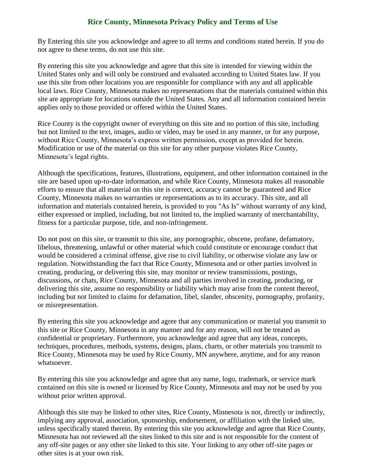## **Rice County, Minnesota Privacy Policy and Terms of Use**

By Entering this site you acknowledge and agree to all terms and conditions stated herein. If you do not agree to these terms, do not use this site.

By entering this site you acknowledge and agree that this site is intended for viewing within the United States only and will only be construed and evaluated according to United States law. If you use this site from other locations you are responsible for compliance with any and all applicable local laws. Rice County, Minnesota makes no representations that the materials contained within this site are appropriate for locations outside the United States. Any and all information contained herein applies only to those provided or offered within the United States.

Rice County is the copyright owner of everything on this site and no portion of this site, including but not limited to the text, images, audio or video, may be used in any manner, or for any purpose, without Rice County, Minnesota's express written permission, except as provided for herein. Modification or use of the material on this site for any other purpose violates Rice County, Minnesota's legal rights.

Although the specifications, features, illustrations, equipment, and other information contained in the site are based upon up-to-date information, and while Rice County, Minnesota makes all reasonable efforts to ensure that all material on this site is correct, accuracy cannot be guaranteed and Rice County, Minnesota makes no warranties or representations as to its accuracy. This site, and all information and materials contained herein, is provided to you "As Is" without warranty of any kind, either expressed or implied, including, but not limited to, the implied warranty of merchantability, fitness for a particular purpose, title, and non-infringement.

Do not post on this site, or transmit to this site, any pornographic, obscene, profane, defamatory, libelous, threatening, unlawful or other material which could constitute or encourage conduct that would be considered a criminal offense, give rise to civil liability, or otherwise violate any law or regulation. Notwithstanding the fact that Rice County, Minnesota and or other parties involved in creating, producing, or delivering this site, may monitor or review transmissions, postings, discussions, or chats, Rice County, Minnesota and all parties involved in creating, producing, or delivering this site, assume no responsibility or liability which may arise from the content thereof, including but not limited to claims for defamation, libel, slander, obscenity, pornography, profanity, or misrepresentation.

By entering this site you acknowledge and agree that any communication or material you transmit to this site or Rice County, Minnesota in any manner and for any reason, will not be treated as confidential or proprietary. Furthermore, you acknowledge and agree that any ideas, concepts, techniques, procedures, methods, systems, designs, plans, charts, or other materials you transmit to Rice County, Minnesota may be used by Rice County, MN anywhere, anytime, and for any reason whatsoever.

By entering this site you acknowledge and agree that any name, logo, trademark, or service mark contained on this site is owned or licensed by Rice County, Minnesota and may not be used by you without prior written approval.

Although this site may be linked to other sites, Rice County, Minnesota is not, directly or indirectly, implying any approval, association, sponsorship, endorsement, or affiliation with the linked site, unless specifically stated therein. By entering this site you acknowledge and agree that Rice County, Minnesota has not reviewed all the sites linked to this site and is not responsible for the content of any off-site pages or any other site linked to this site. Your linking to any other off-site pages or other sites is at your own risk.